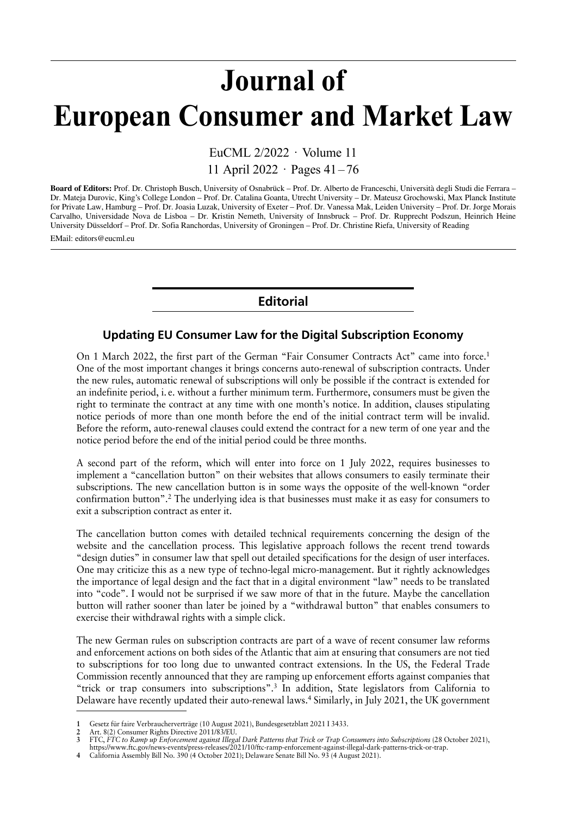## Journal of European Consumer and Market Law

EuCML 2/2022 · Volume 11 11 April 2022 · Pages 41–76

**Board of Editors:** Prof. Dr. Christoph Busch, University of Osnabrück – Prof. Dr. Alberto de Franceschi, Università degli Studi die Ferrara – Dr. Mateja Durovic, King's College London – Prof. Dr. Catalina Goanta, Utrecht University – Dr. Mateusz Grochowski, Max Planck Institute for Private Law, Hamburg – Prof. Dr. Joasia Luzak, University of Exeter – Prof. Dr. Vanessa Mak, Leiden University – Prof. Dr. Jorge Morais Carvalho, Universidade Nova de Lisboa – Dr. Kristin Nemeth, University of Innsbruck – Prof. Dr. Rupprecht Podszun, Heinrich Heine University Düsseldorf – Prof. Dr. Sofia Ranchordas, University of Groningen – Prof. Dr. Christine Riefa, University of Reading

EMail: editors@eucml.eu

## **Editorial**

## **Updating EU Consumer Law for the Digital Subscription Economy**

On 1 March 2022, the first part of the German "Fair Consumer Contracts Act" came into force.1 One of the most important changes it brings concerns auto-renewal of subscription contracts. Under the new rules, automatic renewal of subscriptions will only be possible if the contract is extended for an indefinite period, i. e. without a further minimum term. Furthermore, consumers must be given the right to terminate the contract at any time with one month's notice. In addition, clauses stipulating notice periods of more than one month before the end of the initial contract term will be invalid. Before the reform, auto-renewal clauses could extend the contract for a new term of one year and the notice period before the end of the initial period could be three months.

A second part of the reform, which will enter into force on 1 July 2022, requires businesses to implement a "cancellation button" on their websites that allows consumers to easily terminate their subscriptions. The new cancellation button is in some ways the opposite of the well-known "order confirmation button".2 The underlying idea is that businesses must make it as easy for consumers to exit a subscription contract as enter it.

The cancellation button comes with detailed technical requirements concerning the design of the website and the cancellation process. This legislative approach follows the recent trend towards "design duties" in consumer law that spell out detailed specifications for the design of user interfaces. One may criticize this as a new type of techno-legal micro-management. But it rightly acknowledges the importance of legal design and the fact that in a digital environment "law" needs to be translated into "code". I would not be surprised if we saw more of that in the future. Maybe the cancellation button will rather sooner than later be joined by a "withdrawal button" that enables consumers to exercise their withdrawal rights with a simple click.

The new German rules on subscription contracts are part of a wave of recent consumer law reforms and enforcement actions on both sides of the Atlantic that aim at ensuring that consumers are not tied to subscriptions for too long due to unwanted contract extensions. In the US, the Federal Trade Commission recently announced that they are ramping up enforcement efforts against companies that "trick or trap consumers into subscriptions".3 In addition, State legislators from California to Delaware have recently updated their auto-renewal laws.<sup>4</sup> Similarly, in July 2021, the UK government

**<sup>1</sup>** Gesetz für faire Verbraucherverträge (10 August 2021), Bundesgesetzblatt 2021 I 3433.

<sup>2</sup> Art. 8(2) Consumer Rights Directive 2011/83/EU.<br>**3** FTC, FTC to Ramp up Enforcement against Illega

<sup>3</sup> FTC, FTC to Ramp up Enforcement against Illegal Dark Patterns that Trick or Trap Consumers into Subscriptions (28 October 2021),

https://www.ftc.gov/news-events/press-releases/2021/10/ftc-ramp-enforcement-against-illegal-dark-patterns-trick-or-trap.

**<sup>4</sup>** California Assembly Bill No. 390 (4 October 2021); Delaware Senate Bill No. 93 (4 August 2021).